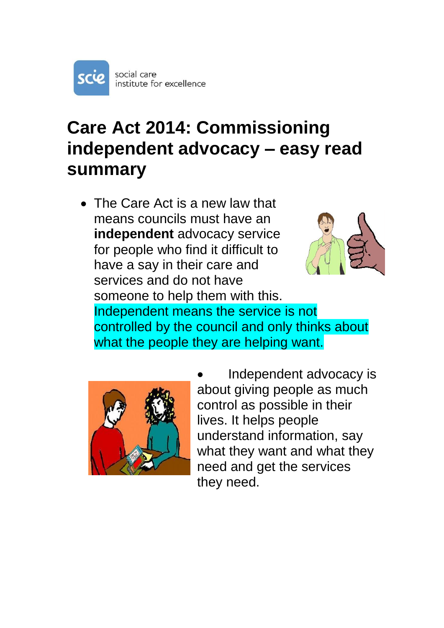

## **Care Act 2014: Commissioning independent advocacy – easy read summary**

• The Care Act is a new law that means councils must have an **independent** advocacy service for people who find it difficult to have a say in their care and services and do not have someone to help them with this. Independent means the service is not controlled by the council and only thinks about what the people they are helping want.



 Independent advocacy is about giving people as much control as possible in their lives. It helps people understand information, say what they want and what they need and get the services they need.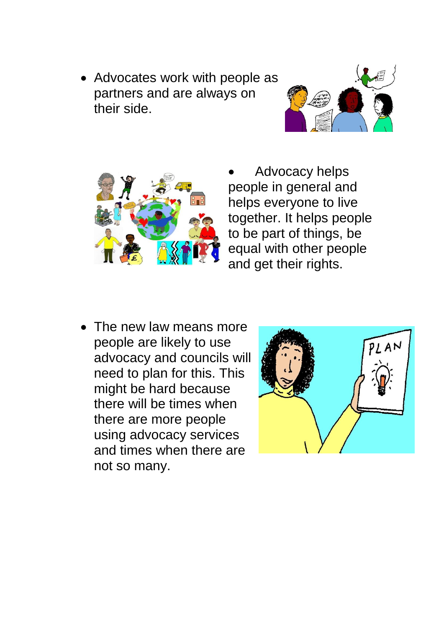• Advocates work with people as partners and are always on their side.





 Advocacy helps people in general and helps everyone to live together. It helps people to be part of things, be equal with other people and get their rights.

• The new law means more people are likely to use advocacy and councils will need to plan for this. This might be hard because there will be times when there are more people using advocacy services and times when there are not so many.

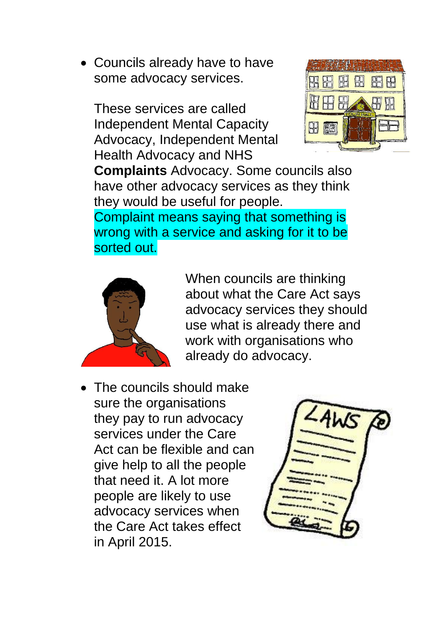Councils already have to have some advocacy services.

These services are called Independent Mental Capacity Advocacy, Independent Mental Health Advocacy and NHS



**Complaints** Advocacy. Some councils also have other advocacy services as they think they would be useful for people.

Complaint means saying that something is wrong with a service and asking for it to be sorted out.



When councils are thinking about what the Care Act says advocacy services they should use what is already there and work with organisations who already do advocacy.

• The councils should make sure the organisations they pay to run advocacy services under the Care Act can be flexible and can give help to all the people that need it. A lot more people are likely to use advocacy services when the Care Act takes effect in April 2015.

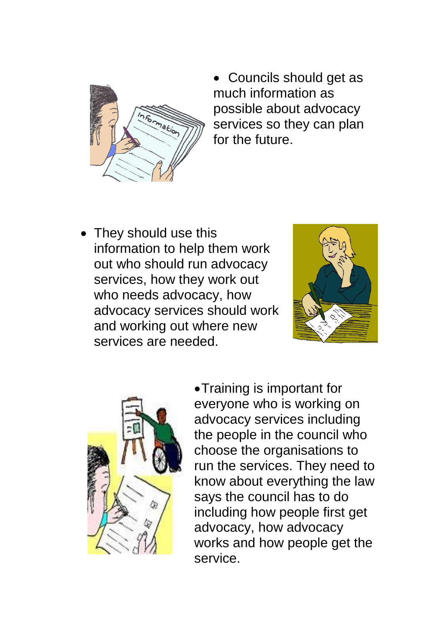

• Councils should get as much information as possible about advocacy services so they can plan for the future.

• They should use this information to help them work out who should run advocacy services, how they work out who needs advocacy, how advocacy services should work and working out where new services are needed.





Training is important for everyone who is working on advocacy services including the people in the council who choose the organisations to run the services. They need to know about everything the law says the council has to do including how people first get advocacy, how advocacy works and how people get the service.